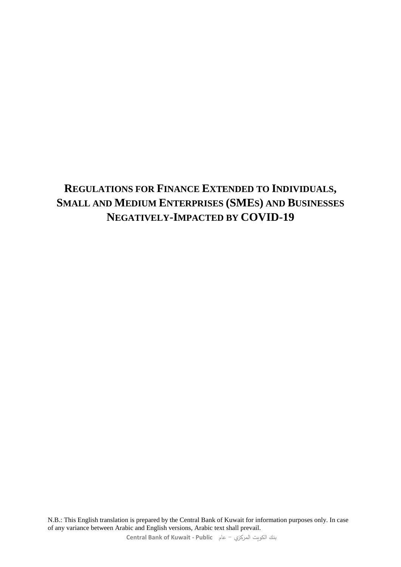# **REGULATIONS FOR FINANCE EXTENDED TO INDIVIDUALS, SMALL AND MEDIUM ENTERPRISES (SMES) AND BUSINESSES NEGATIVELY-IMPACTED BY COVID-19**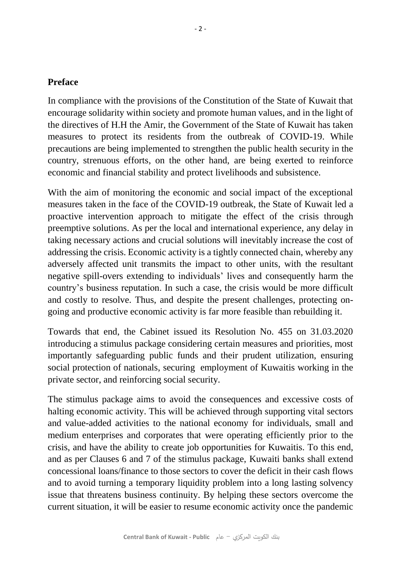## **Preface**

In compliance with the provisions of the Constitution of the State of Kuwait that encourage solidarity within society and promote human values, and in the light of the directives of H.H the Amir, the Government of the State of Kuwait has taken measures to protect its residents from the outbreak of COVID-19. While precautions are being implemented to strengthen the public health security in the country, strenuous efforts, on the other hand, are being exerted to reinforce economic and financial stability and protect livelihoods and subsistence.

With the aim of monitoring the economic and social impact of the exceptional measures taken in the face of the COVID-19 outbreak, the State of Kuwait led a proactive intervention approach to mitigate the effect of the crisis through preemptive solutions. As per the local and international experience, any delay in taking necessary actions and crucial solutions will inevitably increase the cost of addressing the crisis. Economic activity is a tightly connected chain, whereby any adversely affected unit transmits the impact to other units, with the resultant negative spill-overs extending to individuals' lives and consequently harm the country's business reputation. In such a case, the crisis would be more difficult and costly to resolve. Thus, and despite the present challenges, protecting ongoing and productive economic activity is far more feasible than rebuilding it.

Towards that end, the Cabinet issued its Resolution No. 455 on 31.03.2020 introducing a stimulus package considering certain measures and priorities, most importantly safeguarding public funds and their prudent utilization, ensuring social protection of nationals, securing employment of Kuwaitis working in the private sector, and reinforcing social security.

The stimulus package aims to avoid the consequences and excessive costs of halting economic activity. This will be achieved through supporting vital sectors and value-added activities to the national economy for individuals, small and medium enterprises and corporates that were operating efficiently prior to the crisis, and have the ability to create job opportunities for Kuwaitis. To this end, and as per Clauses 6 and 7 of the stimulus package, Kuwaiti banks shall extend concessional loans/finance to those sectors to cover the deficit in their cash flows and to avoid turning a temporary liquidity problem into a long lasting solvency issue that threatens business continuity. By helping these sectors overcome the current situation, it will be easier to resume economic activity once the pandemic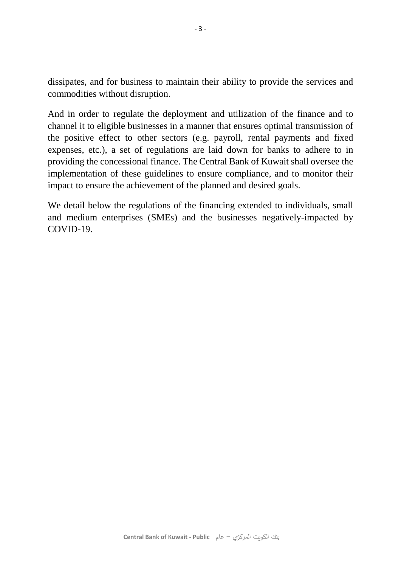dissipates, and for business to maintain their ability to provide the services and commodities without disruption.

And in order to regulate the deployment and utilization of the finance and to channel it to eligible businesses in a manner that ensures optimal transmission of the positive effect to other sectors (e.g. payroll, rental payments and fixed expenses, etc.), a set of regulations are laid down for banks to adhere to in providing the concessional finance. The Central Bank of Kuwait shall oversee the implementation of these guidelines to ensure compliance, and to monitor their impact to ensure the achievement of the planned and desired goals.

We detail below the regulations of the financing extended to individuals, small and medium enterprises (SMEs) and the businesses negatively-impacted by COVID-19.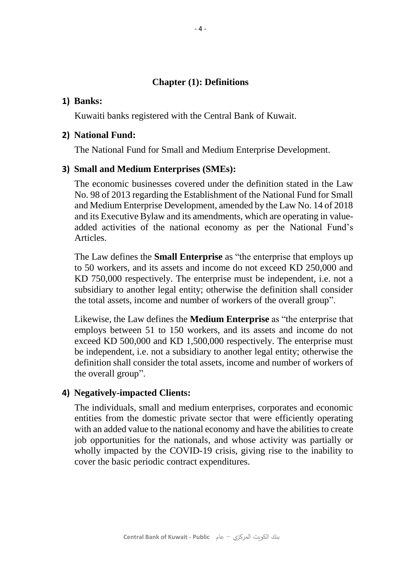# **Chapter (1): Definitions**

### **1) Banks:**

Kuwaiti banks registered with the Central Bank of Kuwait.

### **2) National Fund:**

The National Fund for Small and Medium Enterprise Development.

# **3) Small and Medium Enterprises (SMEs):**

The economic businesses covered under the definition stated in the Law No. 98 of 2013 regarding the Establishment of the National Fund for Small and Medium Enterprise Development, amended by the Law No. 14 of 2018 and its Executive Bylaw and its amendments, which are operating in valueadded activities of the national economy as per the National Fund's Articles.

The Law defines the **Small Enterprise** as "the enterprise that employs up to 50 workers, and its assets and income do not exceed KD 250,000 and KD 750,000 respectively. The enterprise must be independent, i.e. not a subsidiary to another legal entity; otherwise the definition shall consider the total assets, income and number of workers of the overall group".

Likewise, the Law defines the **Medium Enterprise** as "the enterprise that employs between 51 to 150 workers, and its assets and income do not exceed KD 500,000 and KD 1,500,000 respectively. The enterprise must be independent, i.e. not a subsidiary to another legal entity; otherwise the definition shall consider the total assets, income and number of workers of the overall group".

# **4) Negatively-impacted Clients:**

The individuals, small and medium enterprises, corporates and economic entities from the domestic private sector that were efficiently operating with an added value to the national economy and have the abilities to create job opportunities for the nationals, and whose activity was partially or wholly impacted by the COVID-19 crisis, giving rise to the inability to cover the basic periodic contract expenditures.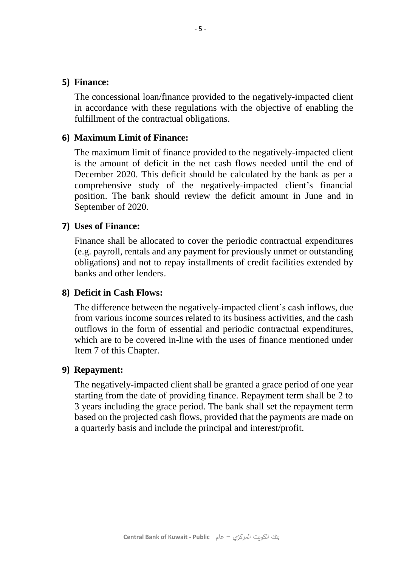#### **5) Finance:**

The concessional loan/finance provided to the negatively-impacted client in accordance with these regulations with the objective of enabling the fulfillment of the contractual obligations.

#### **6) Maximum Limit of Finance:**

The maximum limit of finance provided to the negatively-impacted client is the amount of deficit in the net cash flows needed until the end of December 2020. This deficit should be calculated by the bank as per a comprehensive study of the negatively-impacted client's financial position. The bank should review the deficit amount in June and in September of 2020.

#### **7) Uses of Finance:**

Finance shall be allocated to cover the periodic contractual expenditures (e.g. payroll, rentals and any payment for previously unmet or outstanding obligations) and not to repay installments of credit facilities extended by banks and other lenders.

#### **8) Deficit in Cash Flows:**

The difference between the negatively-impacted client's cash inflows, due from various income sources related to its business activities, and the cash outflows in the form of essential and periodic contractual expenditures, which are to be covered in-line with the uses of finance mentioned under Item 7 of this Chapter.

#### **9) Repayment:**

The negatively-impacted client shall be granted a grace period of one year starting from the date of providing finance. Repayment term shall be 2 to 3 years including the grace period. The bank shall set the repayment term based on the projected cash flows, provided that the payments are made on a quarterly basis and include the principal and interest/profit.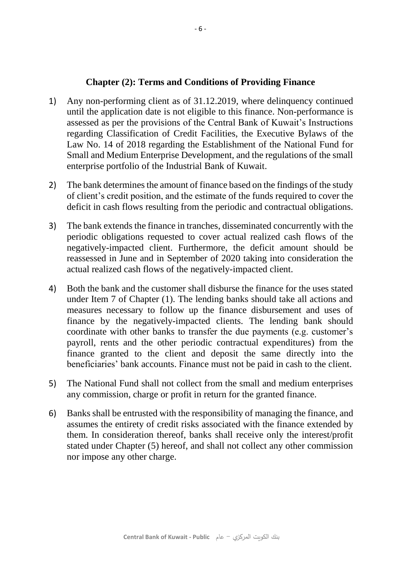# **Chapter (2): Terms and Conditions of Providing Finance**

- 1) Any non-performing client as of 31.12.2019, where delinquency continued until the application date is not eligible to this finance. Non-performance is assessed as per the provisions of the Central Bank of Kuwait's Instructions regarding Classification of Credit Facilities, the Executive Bylaws of the Law No. 14 of 2018 regarding the Establishment of the National Fund for Small and Medium Enterprise Development, and the regulations of the small enterprise portfolio of the Industrial Bank of Kuwait.
- 2) The bank determines the amount of finance based on the findings of the study of client's credit position, and the estimate of the funds required to cover the deficit in cash flows resulting from the periodic and contractual obligations.
- 3) The bank extends the finance in tranches, disseminated concurrently with the periodic obligations requested to cover actual realized cash flows of the negatively-impacted client. Furthermore, the deficit amount should be reassessed in June and in September of 2020 taking into consideration the actual realized cash flows of the negatively-impacted client.
- 4) Both the bank and the customer shall disburse the finance for the uses stated under Item 7 of Chapter (1). The lending banks should take all actions and measures necessary to follow up the finance disbursement and uses of finance by the negatively-impacted clients. The lending bank should coordinate with other banks to transfer the due payments (e.g. customer's payroll, rents and the other periodic contractual expenditures) from the finance granted to the client and deposit the same directly into the beneficiaries' bank accounts. Finance must not be paid in cash to the client.
- 5) The National Fund shall not collect from the small and medium enterprises any commission, charge or profit in return for the granted finance.
- 6) Banks shall be entrusted with the responsibility of managing the finance, and assumes the entirety of credit risks associated with the finance extended by them. In consideration thereof, banks shall receive only the interest/profit stated under Chapter (5) hereof, and shall not collect any other commission nor impose any other charge.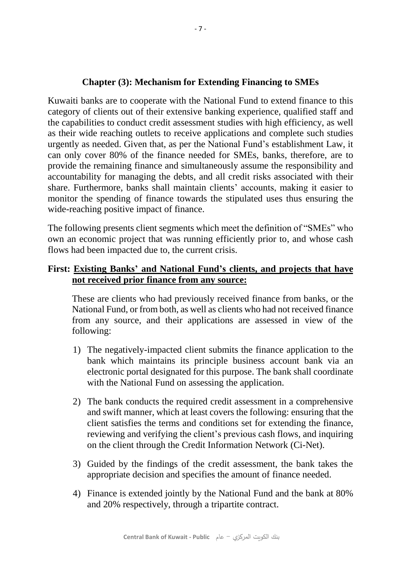# **Chapter (3): Mechanism for Extending Financing to SMEs**

Kuwaiti banks are to cooperate with the National Fund to extend finance to this category of clients out of their extensive banking experience, qualified staff and the capabilities to conduct credit assessment studies with high efficiency, as well as their wide reaching outlets to receive applications and complete such studies urgently as needed. Given that, as per the National Fund's establishment Law, it can only cover 80% of the finance needed for SMEs, banks, therefore, are to provide the remaining finance and simultaneously assume the responsibility and accountability for managing the debts, and all credit risks associated with their share. Furthermore, banks shall maintain clients' accounts, making it easier to monitor the spending of finance towards the stipulated uses thus ensuring the wide-reaching positive impact of finance.

The following presents client segments which meet the definition of "SMEs" who own an economic project that was running efficiently prior to, and whose cash flows had been impacted due to, the current crisis.

# **First: Existing Banks' and National Fund's clients, and projects that have not received prior finance from any source:**

These are clients who had previously received finance from banks, or the National Fund, or from both, as well as clients who had not received finance from any source, and their applications are assessed in view of the following:

- 1) The negatively-impacted client submits the finance application to the bank which maintains its principle business account bank via an electronic portal designated for this purpose. The bank shall coordinate with the National Fund on assessing the application.
- 2) The bank conducts the required credit assessment in a comprehensive and swift manner, which at least covers the following: ensuring that the client satisfies the terms and conditions set for extending the finance, reviewing and verifying the client's previous cash flows, and inquiring on the client through the Credit Information Network (Ci-Net).
- 3) Guided by the findings of the credit assessment, the bank takes the appropriate decision and specifies the amount of finance needed.
- 4) Finance is extended jointly by the National Fund and the bank at 80% and 20% respectively, through a tripartite contract.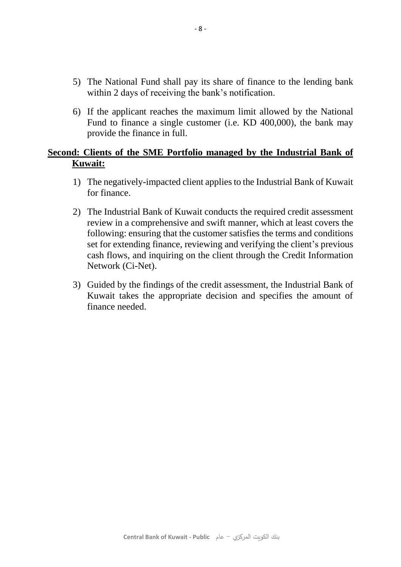- 5) The National Fund shall pay its share of finance to the lending bank within 2 days of receiving the bank's notification.
- 6) If the applicant reaches the maximum limit allowed by the National Fund to finance a single customer (i.e. KD 400,000), the bank may provide the finance in full.

### **Second: Clients of the SME Portfolio managed by the Industrial Bank of Kuwait:**

- 1) The negatively-impacted client applies to the Industrial Bank of Kuwait for finance.
- 2) The Industrial Bank of Kuwait conducts the required credit assessment review in a comprehensive and swift manner, which at least covers the following: ensuring that the customer satisfies the terms and conditions set for extending finance, reviewing and verifying the client's previous cash flows, and inquiring on the client through the Credit Information Network (Ci-Net).
- 3) Guided by the findings of the credit assessment, the Industrial Bank of Kuwait takes the appropriate decision and specifies the amount of finance needed.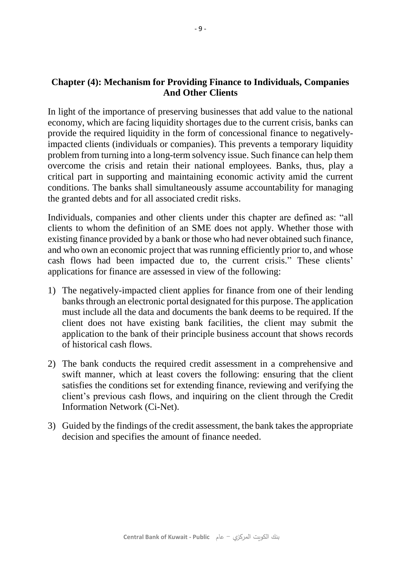# **Chapter (4): Mechanism for Providing Finance to Individuals, Companies And Other Clients**

In light of the importance of preserving businesses that add value to the national economy, which are facing liquidity shortages due to the current crisis, banks can provide the required liquidity in the form of concessional finance to negativelyimpacted clients (individuals or companies). This prevents a temporary liquidity problem from turning into a long-term solvency issue. Such finance can help them overcome the crisis and retain their national employees. Banks, thus, play a critical part in supporting and maintaining economic activity amid the current conditions. The banks shall simultaneously assume accountability for managing the granted debts and for all associated credit risks.

Individuals, companies and other clients under this chapter are defined as: "all clients to whom the definition of an SME does not apply. Whether those with existing finance provided by a bank or those who had never obtained such finance, and who own an economic project that was running efficiently prior to, and whose cash flows had been impacted due to, the current crisis." These clients' applications for finance are assessed in view of the following:

- 1) The negatively-impacted client applies for finance from one of their lending banks through an electronic portal designated for this purpose. The application must include all the data and documents the bank deems to be required. If the client does not have existing bank facilities, the client may submit the application to the bank of their principle business account that shows records of historical cash flows.
- 2) The bank conducts the required credit assessment in a comprehensive and swift manner, which at least covers the following: ensuring that the client satisfies the conditions set for extending finance, reviewing and verifying the client's previous cash flows, and inquiring on the client through the Credit Information Network (Ci-Net).
- 3) Guided by the findings of the credit assessment, the bank takes the appropriate decision and specifies the amount of finance needed.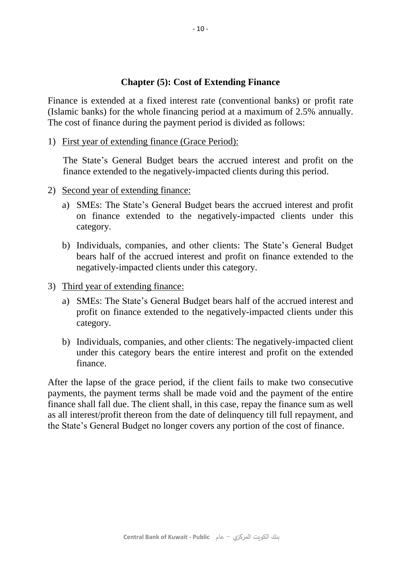## **Chapter (5): Cost of Extending Finance**

Finance is extended at a fixed interest rate (conventional banks) or profit rate (Islamic banks) for the whole financing period at a maximum of 2.5% annually. The cost of finance during the payment period is divided as follows:

1) First year of extending finance (Grace Period):

The State's General Budget bears the accrued interest and profit on the finance extended to the negatively-impacted clients during this period.

- 2) Second year of extending finance:
	- a) SMEs: The State's General Budget bears the accrued interest and profit on finance extended to the negatively-impacted clients under this category.
	- b) Individuals, companies, and other clients: The State's General Budget bears half of the accrued interest and profit on finance extended to the negatively-impacted clients under this category.
- 3) Third year of extending finance:
	- a) SMEs: The State's General Budget bears half of the accrued interest and profit on finance extended to the negatively-impacted clients under this category.
	- b) Individuals, companies, and other clients: The negatively-impacted client under this category bears the entire interest and profit on the extended finance.

After the lapse of the grace period, if the client fails to make two consecutive payments, the payment terms shall be made void and the payment of the entire finance shall fall due. The client shall, in this case, repay the finance sum as well as all interest/profit thereon from the date of delinquency till full repayment, and the State's General Budget no longer covers any portion of the cost of finance.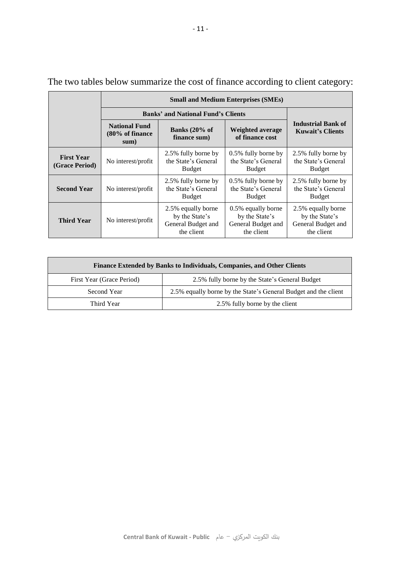|                                     | <b>Small and Medium Enterprises (SMEs)</b><br><b>Banks' and National Fund's Clients</b> |                                                                          |                                                                          |                                                                          |
|-------------------------------------|-----------------------------------------------------------------------------------------|--------------------------------------------------------------------------|--------------------------------------------------------------------------|--------------------------------------------------------------------------|
|                                     |                                                                                         |                                                                          |                                                                          |                                                                          |
|                                     | <b>National Fund</b><br>$(80\% \text{ of finance})$<br>sum)                             | Banks $(20\% \text{ of }$<br>finance sum)                                | <b>Weighted average</b><br>of finance cost                               | <b>Industrial Bank of</b><br><b>Kuwait's Clients</b>                     |
| <b>First Year</b><br>(Grace Period) | No interest/profit                                                                      | 2.5% fully borne by<br>the State's General<br><b>Budget</b>              | 0.5% fully borne by<br>the State's General<br><b>Budget</b>              | 2.5% fully borne by<br>the State's General<br><b>Budget</b>              |
| <b>Second Year</b>                  | No interest/profit                                                                      | 2.5% fully borne by<br>the State's General<br><b>Budget</b>              | 0.5% fully borne by<br>the State's General<br><b>Budget</b>              | 2.5% fully borne by<br>the State's General<br><b>Budget</b>              |
| <b>Third Year</b>                   | No interest/profit                                                                      | 2.5% equally borne<br>by the State's<br>General Budget and<br>the client | 0.5% equally borne<br>by the State's<br>General Budget and<br>the client | 2.5% equally borne<br>by the State's<br>General Budget and<br>the client |

# The two tables below summarize the cost of finance according to client category:

| Finance Extended by Banks to Individuals, Companies, and Other Clients |                                                                 |  |  |
|------------------------------------------------------------------------|-----------------------------------------------------------------|--|--|
| First Year (Grace Period)                                              | 2.5% fully borne by the State's General Budget                  |  |  |
| Second Year                                                            | 2.5% equally borne by the State's General Budget and the client |  |  |
| Third Year                                                             | 2.5% fully borne by the client                                  |  |  |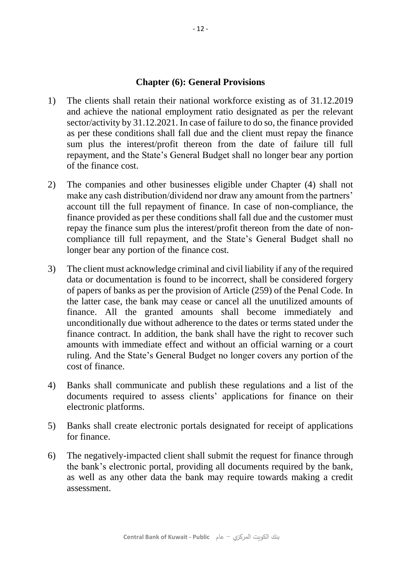#### **Chapter (6): General Provisions**

- 1) The clients shall retain their national workforce existing as of 31.12.2019 and achieve the national employment ratio designated as per the relevant sector/activity by 31.12.2021. In case of failure to do so, the finance provided as per these conditions shall fall due and the client must repay the finance sum plus the interest/profit thereon from the date of failure till full repayment, and the State's General Budget shall no longer bear any portion of the finance cost.
- 2) The companies and other businesses eligible under Chapter (4) shall not make any cash distribution/dividend nor draw any amount from the partners' account till the full repayment of finance. In case of non-compliance, the finance provided as per these conditions shall fall due and the customer must repay the finance sum plus the interest/profit thereon from the date of noncompliance till full repayment, and the State's General Budget shall no longer bear any portion of the finance cost.
- 3) The client must acknowledge criminal and civil liability if any of the required data or documentation is found to be incorrect, shall be considered forgery of papers of banks as per the provision of Article (259) of the Penal Code. In the latter case, the bank may cease or cancel all the unutilized amounts of finance. All the granted amounts shall become immediately and unconditionally due without adherence to the dates or terms stated under the finance contract. In addition, the bank shall have the right to recover such amounts with immediate effect and without an official warning or a court ruling. And the State's General Budget no longer covers any portion of the cost of finance.
- 4) Banks shall communicate and publish these regulations and a list of the documents required to assess clients' applications for finance on their electronic platforms.
- 5) Banks shall create electronic portals designated for receipt of applications for finance.
- 6) The negatively-impacted client shall submit the request for finance through the bank's electronic portal, providing all documents required by the bank, as well as any other data the bank may require towards making a credit assessment.